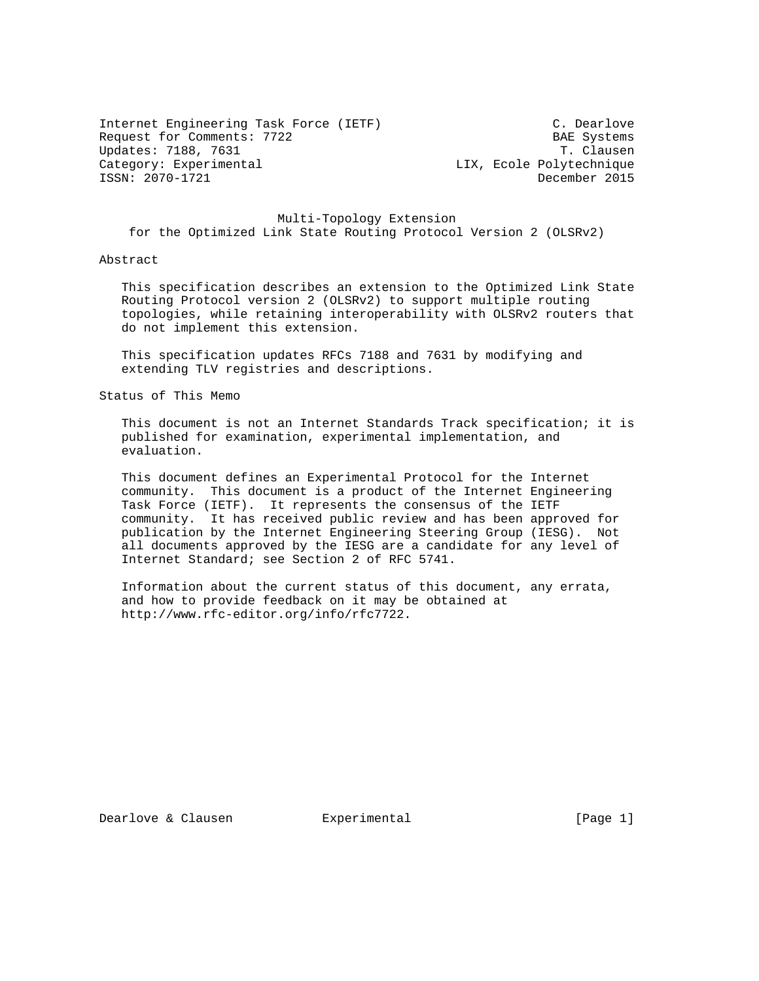Internet Engineering Task Force (IETF) C. Dearlove Request for Comments: 7722 BAE Systems Updates: 7188, 7631 T. Clausen Category: Experimental Category: Experimental ISSN: 2070-1721 December 2015

 Multi-Topology Extension for the Optimized Link State Routing Protocol Version 2 (OLSRv2)

#### Abstract

 This specification describes an extension to the Optimized Link State Routing Protocol version 2 (OLSRv2) to support multiple routing topologies, while retaining interoperability with OLSRv2 routers that do not implement this extension.

 This specification updates RFCs 7188 and 7631 by modifying and extending TLV registries and descriptions.

Status of This Memo

 This document is not an Internet Standards Track specification; it is published for examination, experimental implementation, and evaluation.

 This document defines an Experimental Protocol for the Internet community. This document is a product of the Internet Engineering Task Force (IETF). It represents the consensus of the IETF community. It has received public review and has been approved for publication by the Internet Engineering Steering Group (IESG). Not all documents approved by the IESG are a candidate for any level of Internet Standard; see Section 2 of RFC 5741.

 Information about the current status of this document, any errata, and how to provide feedback on it may be obtained at http://www.rfc-editor.org/info/rfc7722.

Dearlove & Clausen **Experimental** [Page 1]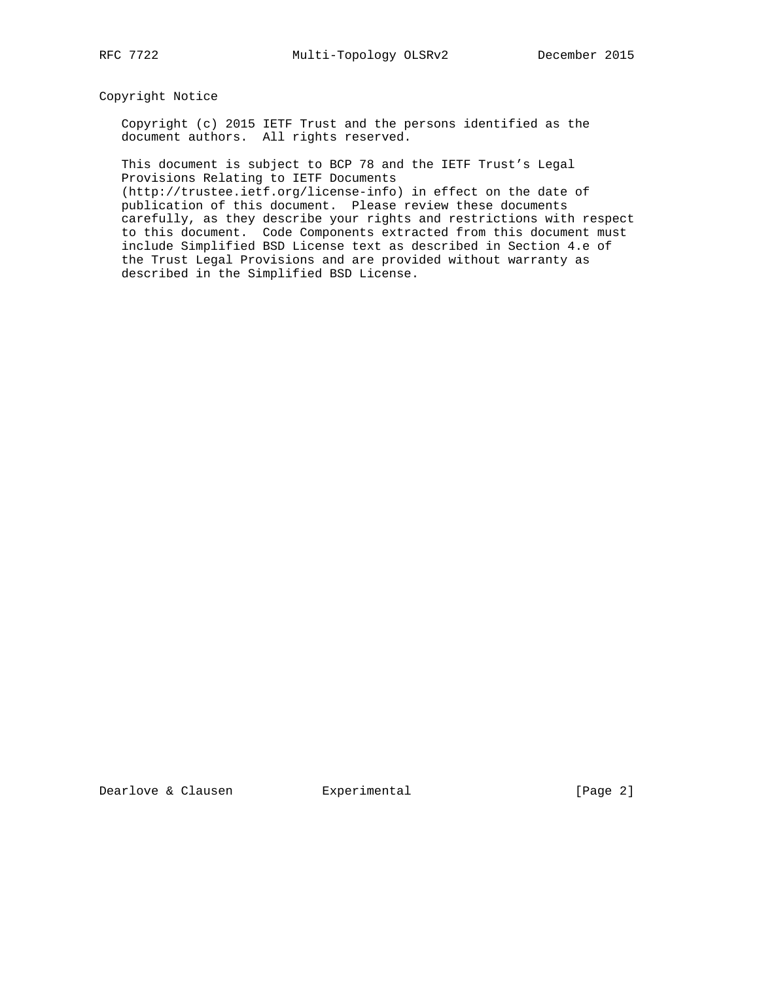Copyright Notice

 Copyright (c) 2015 IETF Trust and the persons identified as the document authors. All rights reserved.

 This document is subject to BCP 78 and the IETF Trust's Legal Provisions Relating to IETF Documents

 (http://trustee.ietf.org/license-info) in effect on the date of publication of this document. Please review these documents carefully, as they describe your rights and restrictions with respect to this document. Code Components extracted from this document must include Simplified BSD License text as described in Section 4.e of the Trust Legal Provisions and are provided without warranty as described in the Simplified BSD License.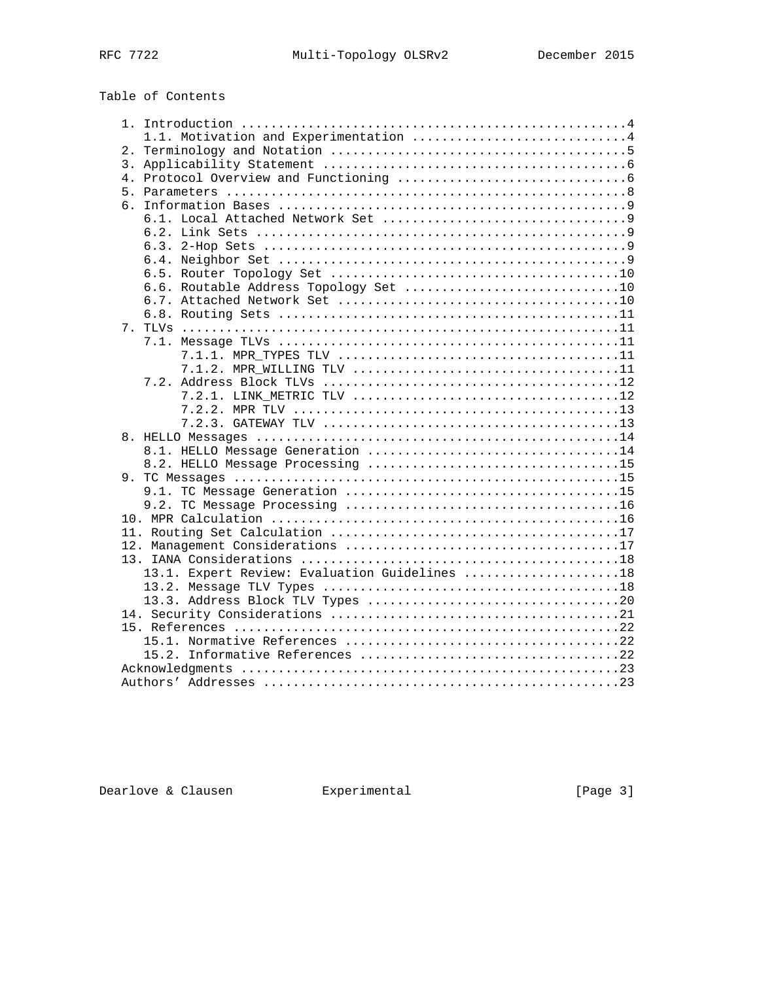# Table of Contents

|  | 1.1. Motivation and Experimentation 4         |
|--|-----------------------------------------------|
|  |                                               |
|  |                                               |
|  |                                               |
|  |                                               |
|  |                                               |
|  |                                               |
|  |                                               |
|  |                                               |
|  |                                               |
|  |                                               |
|  | 6.6. Routable Address Topology Set 10         |
|  |                                               |
|  |                                               |
|  |                                               |
|  |                                               |
|  |                                               |
|  |                                               |
|  |                                               |
|  |                                               |
|  |                                               |
|  |                                               |
|  |                                               |
|  | 8.1. HELLO Message Generation 14              |
|  |                                               |
|  |                                               |
|  |                                               |
|  |                                               |
|  |                                               |
|  |                                               |
|  |                                               |
|  |                                               |
|  | 13.1. Expert Review: Evaluation Guidelines 18 |
|  |                                               |
|  |                                               |
|  |                                               |
|  |                                               |
|  |                                               |
|  |                                               |
|  |                                               |
|  |                                               |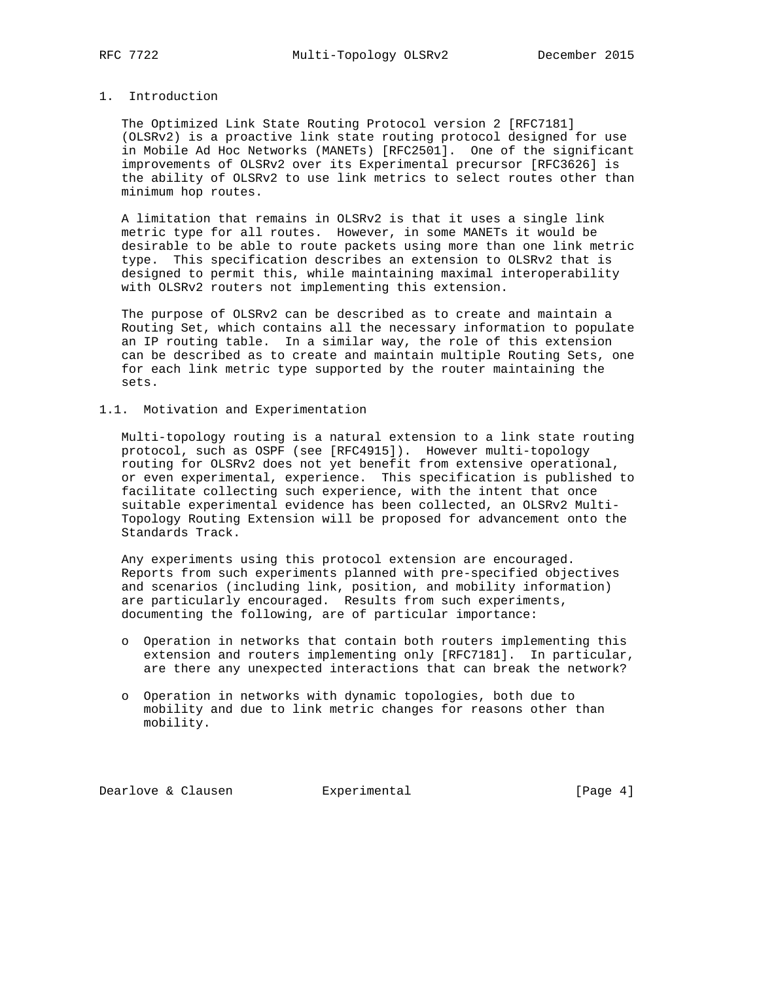### 1. Introduction

 The Optimized Link State Routing Protocol version 2 [RFC7181] (OLSRv2) is a proactive link state routing protocol designed for use in Mobile Ad Hoc Networks (MANETs) [RFC2501]. One of the significant improvements of OLSRv2 over its Experimental precursor [RFC3626] is the ability of OLSRv2 to use link metrics to select routes other than minimum hop routes.

 A limitation that remains in OLSRv2 is that it uses a single link metric type for all routes. However, in some MANETs it would be desirable to be able to route packets using more than one link metric type. This specification describes an extension to OLSRv2 that is designed to permit this, while maintaining maximal interoperability with OLSRv2 routers not implementing this extension.

 The purpose of OLSRv2 can be described as to create and maintain a Routing Set, which contains all the necessary information to populate an IP routing table. In a similar way, the role of this extension can be described as to create and maintain multiple Routing Sets, one for each link metric type supported by the router maintaining the sets.

### 1.1. Motivation and Experimentation

 Multi-topology routing is a natural extension to a link state routing protocol, such as OSPF (see [RFC4915]). However multi-topology routing for OLSRv2 does not yet benefit from extensive operational, or even experimental, experience. This specification is published to facilitate collecting such experience, with the intent that once suitable experimental evidence has been collected, an OLSRv2 Multi- Topology Routing Extension will be proposed for advancement onto the Standards Track.

 Any experiments using this protocol extension are encouraged. Reports from such experiments planned with pre-specified objectives and scenarios (including link, position, and mobility information) are particularly encouraged. Results from such experiments, documenting the following, are of particular importance:

- o Operation in networks that contain both routers implementing this extension and routers implementing only [RFC7181]. In particular, are there any unexpected interactions that can break the network?
- o Operation in networks with dynamic topologies, both due to mobility and due to link metric changes for reasons other than mobility.

Dearlove & Clausen **Experimental Experimental** [Page 4]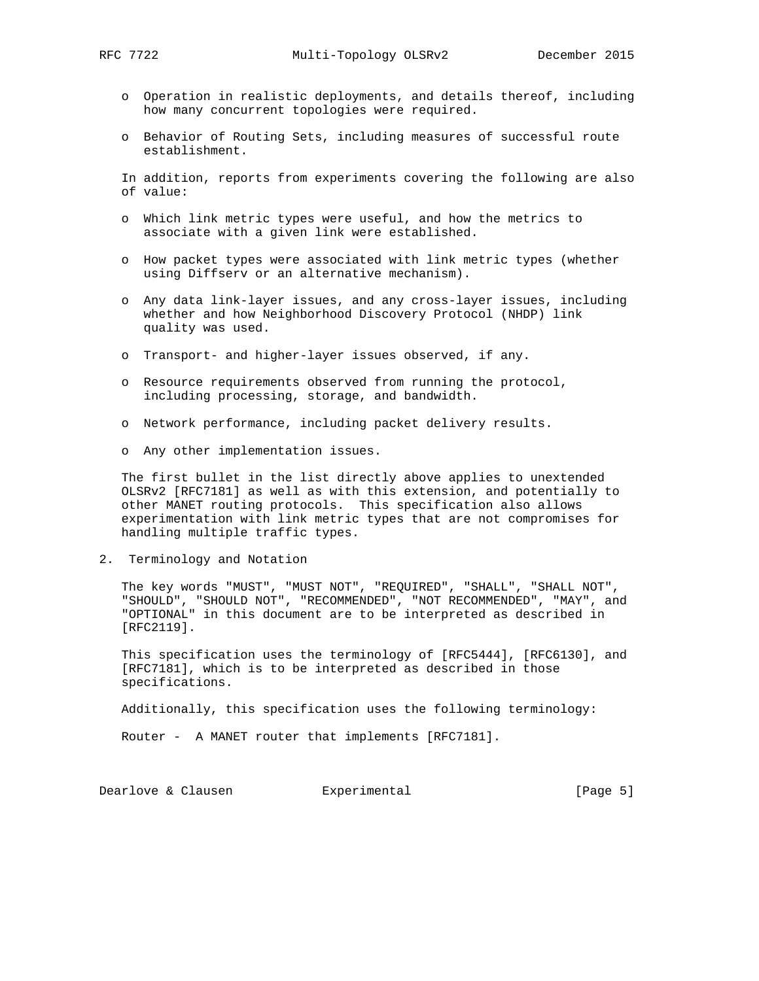- o Operation in realistic deployments, and details thereof, including how many concurrent topologies were required.
- o Behavior of Routing Sets, including measures of successful route establishment.

 In addition, reports from experiments covering the following are also of value:

- o Which link metric types were useful, and how the metrics to associate with a given link were established.
- o How packet types were associated with link metric types (whether using Diffserv or an alternative mechanism).
- o Any data link-layer issues, and any cross-layer issues, including whether and how Neighborhood Discovery Protocol (NHDP) link quality was used.
- o Transport- and higher-layer issues observed, if any.
- o Resource requirements observed from running the protocol, including processing, storage, and bandwidth.
- o Network performance, including packet delivery results.
- o Any other implementation issues.

 The first bullet in the list directly above applies to unextended OLSRv2 [RFC7181] as well as with this extension, and potentially to other MANET routing protocols. This specification also allows experimentation with link metric types that are not compromises for handling multiple traffic types.

2. Terminology and Notation

 The key words "MUST", "MUST NOT", "REQUIRED", "SHALL", "SHALL NOT", "SHOULD", "SHOULD NOT", "RECOMMENDED", "NOT RECOMMENDED", "MAY", and "OPTIONAL" in this document are to be interpreted as described in [RFC2119].

 This specification uses the terminology of [RFC5444], [RFC6130], and [RFC7181], which is to be interpreted as described in those specifications.

Additionally, this specification uses the following terminology:

Router - A MANET router that implements [RFC7181].

Dearlove & Clausen Experimental [Page 5]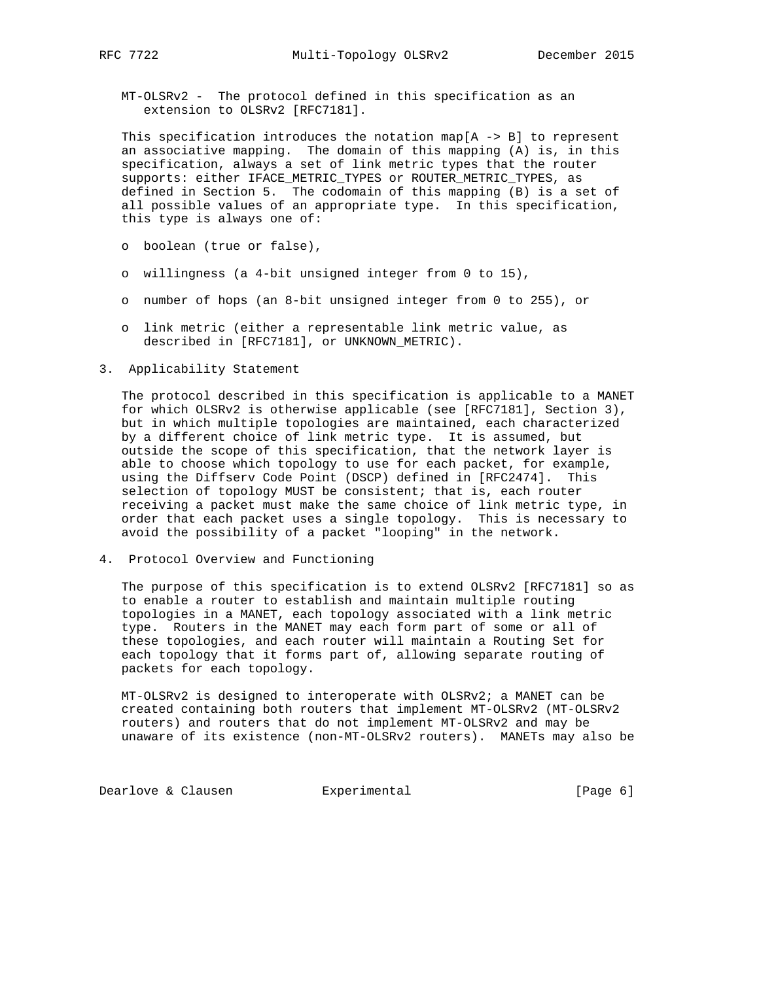MT-OLSRv2 - The protocol defined in this specification as an extension to OLSRv2 [RFC7181].

This specification introduces the notation map[A  $\rightarrow$  B] to represent an associative mapping. The domain of this mapping (A) is, in this specification, always a set of link metric types that the router supports: either IFACE\_METRIC\_TYPES or ROUTER\_METRIC\_TYPES, as defined in Section 5. The codomain of this mapping (B) is a set of all possible values of an appropriate type. In this specification, this type is always one of:

- o boolean (true or false),
- o willingness (a 4-bit unsigned integer from 0 to 15),
- o number of hops (an 8-bit unsigned integer from 0 to 255), or
- o link metric (either a representable link metric value, as described in [RFC7181], or UNKNOWN\_METRIC).
- 3. Applicability Statement

 The protocol described in this specification is applicable to a MANET for which OLSRv2 is otherwise applicable (see [RFC7181], Section 3), but in which multiple topologies are maintained, each characterized by a different choice of link metric type. It is assumed, but outside the scope of this specification, that the network layer is able to choose which topology to use for each packet, for example, using the Diffserv Code Point (DSCP) defined in [RFC2474]. This selection of topology MUST be consistent; that is, each router receiving a packet must make the same choice of link metric type, in order that each packet uses a single topology. This is necessary to avoid the possibility of a packet "looping" in the network.

4. Protocol Overview and Functioning

 The purpose of this specification is to extend OLSRv2 [RFC7181] so as to enable a router to establish and maintain multiple routing topologies in a MANET, each topology associated with a link metric type. Routers in the MANET may each form part of some or all of these topologies, and each router will maintain a Routing Set for each topology that it forms part of, allowing separate routing of packets for each topology.

 MT-OLSRv2 is designed to interoperate with OLSRv2; a MANET can be created containing both routers that implement MT-OLSRv2 (MT-OLSRv2 routers) and routers that do not implement MT-OLSRv2 and may be unaware of its existence (non-MT-OLSRv2 routers). MANETs may also be

Dearlove & Clausen **Experimental Experimental** [Page 6]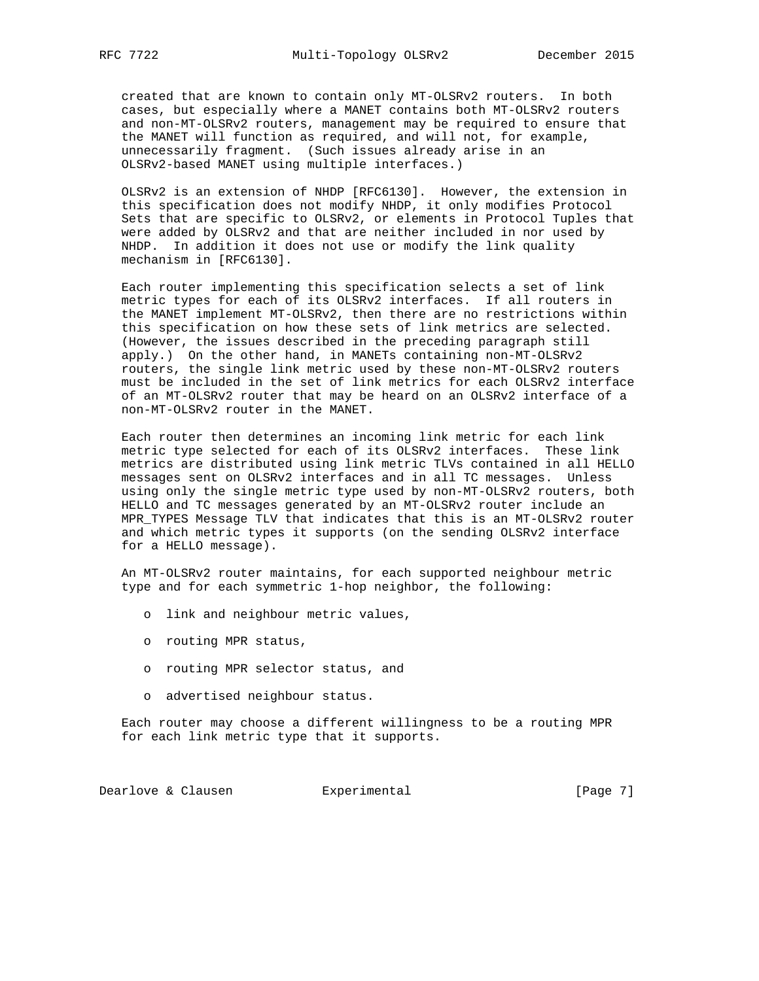created that are known to contain only MT-OLSRv2 routers. In both cases, but especially where a MANET contains both MT-OLSRv2 routers and non-MT-OLSRv2 routers, management may be required to ensure that the MANET will function as required, and will not, for example, unnecessarily fragment. (Such issues already arise in an OLSRv2-based MANET using multiple interfaces.)

 OLSRv2 is an extension of NHDP [RFC6130]. However, the extension in this specification does not modify NHDP, it only modifies Protocol Sets that are specific to OLSRv2, or elements in Protocol Tuples that were added by OLSRv2 and that are neither included in nor used by NHDP. In addition it does not use or modify the link quality mechanism in [RFC6130].

 Each router implementing this specification selects a set of link metric types for each of its OLSRv2 interfaces. If all routers in the MANET implement MT-OLSRv2, then there are no restrictions within this specification on how these sets of link metrics are selected. (However, the issues described in the preceding paragraph still apply.) On the other hand, in MANETs containing non-MT-OLSRv2 routers, the single link metric used by these non-MT-OLSRv2 routers must be included in the set of link metrics for each OLSRv2 interface of an MT-OLSRv2 router that may be heard on an OLSRv2 interface of a non-MT-OLSRv2 router in the MANET.

 Each router then determines an incoming link metric for each link metric type selected for each of its OLSRv2 interfaces. These link metrics are distributed using link metric TLVs contained in all HELLO messages sent on OLSRv2 interfaces and in all TC messages. Unless using only the single metric type used by non-MT-OLSRv2 routers, both HELLO and TC messages generated by an MT-OLSRv2 router include an MPR\_TYPES Message TLV that indicates that this is an MT-OLSRv2 router and which metric types it supports (on the sending OLSRv2 interface for a HELLO message).

 An MT-OLSRv2 router maintains, for each supported neighbour metric type and for each symmetric 1-hop neighbor, the following:

- o link and neighbour metric values,
- o routing MPR status,
- o routing MPR selector status, and
- o advertised neighbour status.

 Each router may choose a different willingness to be a routing MPR for each link metric type that it supports.

Dearlove & Clausen **Experimental Experimental** [Page 7]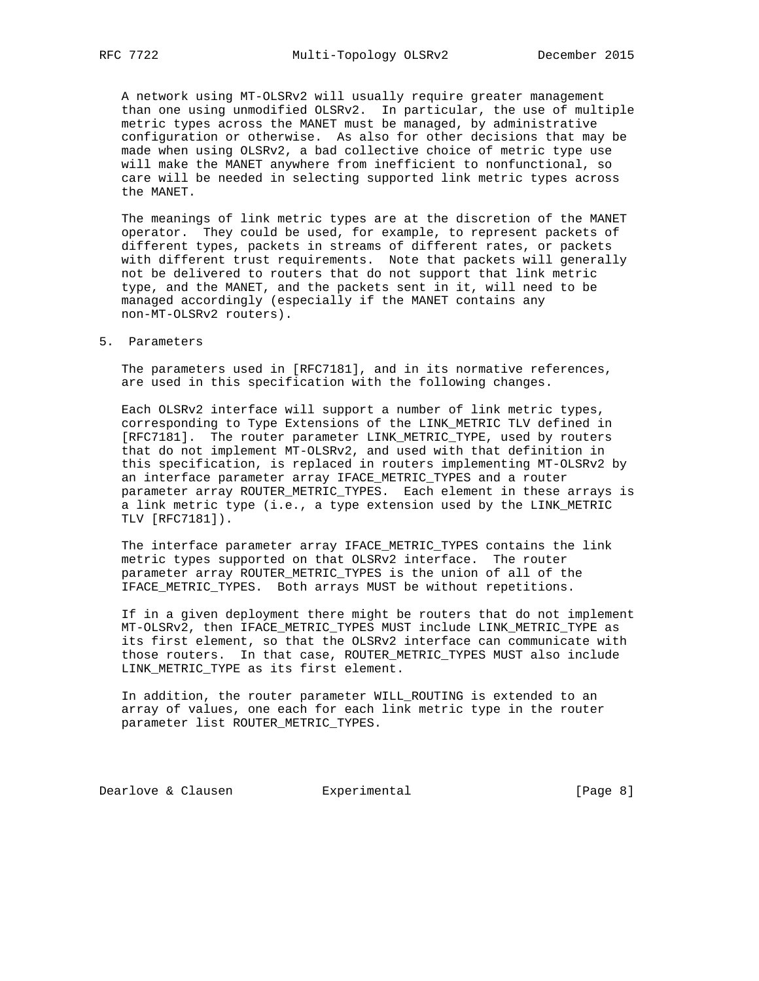A network using MT-OLSRv2 will usually require greater management than one using unmodified OLSRv2. In particular, the use of multiple metric types across the MANET must be managed, by administrative configuration or otherwise. As also for other decisions that may be made when using OLSRv2, a bad collective choice of metric type use will make the MANET anywhere from inefficient to nonfunctional, so care will be needed in selecting supported link metric types across the MANET.

 The meanings of link metric types are at the discretion of the MANET operator. They could be used, for example, to represent packets of different types, packets in streams of different rates, or packets with different trust requirements. Note that packets will generally not be delivered to routers that do not support that link metric type, and the MANET, and the packets sent in it, will need to be managed accordingly (especially if the MANET contains any non-MT-OLSRv2 routers).

#### 5. Parameters

 The parameters used in [RFC7181], and in its normative references, are used in this specification with the following changes.

 Each OLSRv2 interface will support a number of link metric types, corresponding to Type Extensions of the LINK\_METRIC TLV defined in [RFC7181]. The router parameter LINK\_METRIC\_TYPE, used by routers that do not implement MT-OLSRv2, and used with that definition in this specification, is replaced in routers implementing MT-OLSRv2 by an interface parameter array IFACE\_METRIC\_TYPES and a router parameter array ROUTER\_METRIC\_TYPES. Each element in these arrays is a link metric type (i.e., a type extension used by the LINK\_METRIC TLV [RFC7181]).

 The interface parameter array IFACE\_METRIC\_TYPES contains the link metric types supported on that OLSRv2 interface. The router parameter array ROUTER\_METRIC\_TYPES is the union of all of the IFACE\_METRIC\_TYPES. Both arrays MUST be without repetitions.

 If in a given deployment there might be routers that do not implement MT-OLSRv2, then IFACE\_METRIC\_TYPES MUST include LINK\_METRIC\_TYPE as its first element, so that the OLSRv2 interface can communicate with those routers. In that case, ROUTER\_METRIC\_TYPES MUST also include LINK\_METRIC\_TYPE as its first element.

 In addition, the router parameter WILL\_ROUTING is extended to an array of values, one each for each link metric type in the router parameter list ROUTER\_METRIC\_TYPES.

Dearlove & Clausen **Experimental Experimental** [Page 8]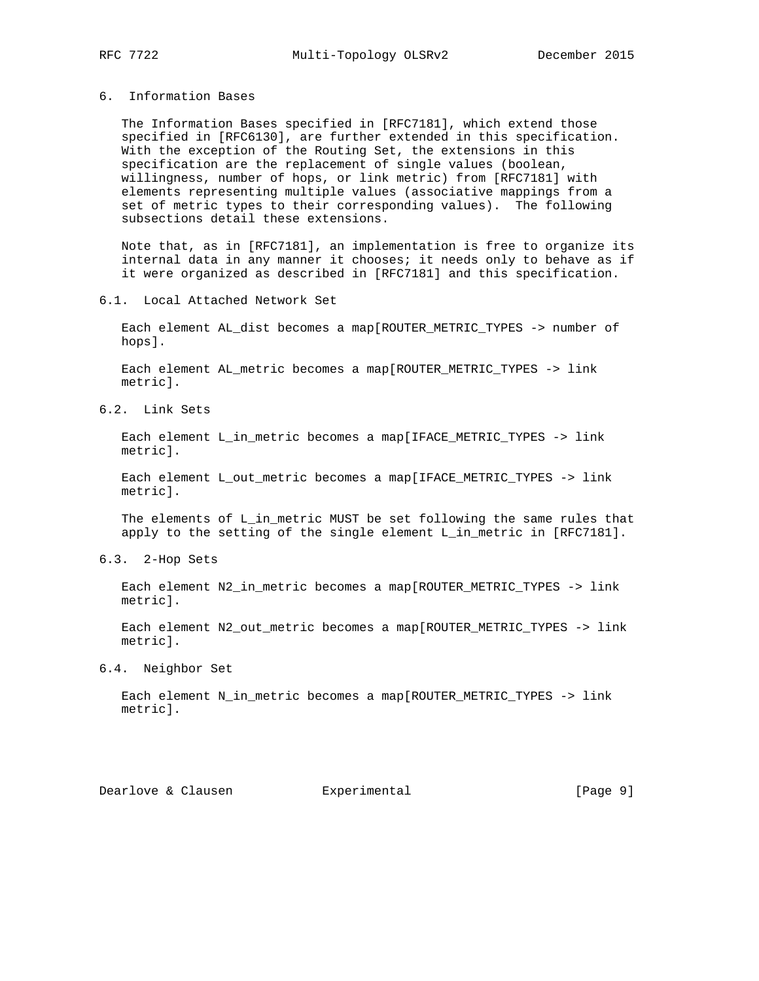### 6. Information Bases

 The Information Bases specified in [RFC7181], which extend those specified in [RFC6130], are further extended in this specification. With the exception of the Routing Set, the extensions in this specification are the replacement of single values (boolean, willingness, number of hops, or link metric) from [RFC7181] with elements representing multiple values (associative mappings from a set of metric types to their corresponding values). The following subsections detail these extensions.

 Note that, as in [RFC7181], an implementation is free to organize its internal data in any manner it chooses; it needs only to behave as if it were organized as described in [RFC7181] and this specification.

#### 6.1. Local Attached Network Set

 Each element AL\_dist becomes a map[ROUTER\_METRIC\_TYPES -> number of hops].

 Each element AL\_metric becomes a map[ROUTER\_METRIC\_TYPES -> link metric].

6.2. Link Sets

 Each element L\_in\_metric becomes a map[IFACE\_METRIC\_TYPES -> link metric].

 Each element L\_out\_metric becomes a map[IFACE\_METRIC\_TYPES -> link metric].

The elements of L\_in\_metric MUST be set following the same rules that apply to the setting of the single element L\_in\_metric in [RFC7181].

6.3. 2-Hop Sets

 Each element N2\_in\_metric becomes a map[ROUTER\_METRIC\_TYPES -> link metric].

 Each element N2\_out\_metric becomes a map[ROUTER\_METRIC\_TYPES -> link metric].

# 6.4. Neighbor Set

 Each element N\_in\_metric becomes a map[ROUTER\_METRIC\_TYPES -> link metric].

Dearlove & Clausen Experimental [Page 9]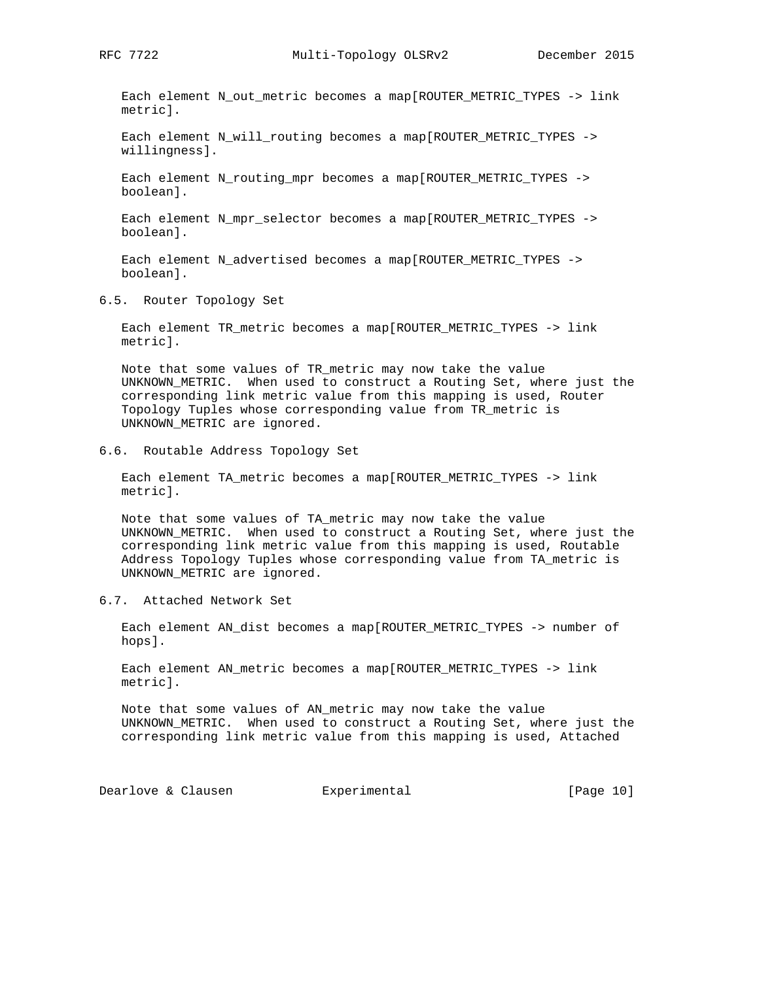Each element N\_out\_metric becomes a map[ROUTER\_METRIC\_TYPES -> link metric].

 Each element N\_will\_routing becomes a map[ROUTER\_METRIC\_TYPES -> willingness].

 Each element N\_routing\_mpr becomes a map[ROUTER\_METRIC\_TYPES -> boolean].

 Each element N\_mpr\_selector becomes a map[ROUTER\_METRIC\_TYPES -> boolean].

 Each element N\_advertised becomes a map[ROUTER\_METRIC\_TYPES -> boolean].

6.5. Router Topology Set

 Each element TR\_metric becomes a map[ROUTER\_METRIC\_TYPES -> link metric].

 Note that some values of TR\_metric may now take the value UNKNOWN\_METRIC. When used to construct a Routing Set, where just the corresponding link metric value from this mapping is used, Router Topology Tuples whose corresponding value from TR\_metric is UNKNOWN\_METRIC are ignored.

6.6. Routable Address Topology Set

 Each element TA\_metric becomes a map[ROUTER\_METRIC\_TYPES -> link metric].

 Note that some values of TA\_metric may now take the value UNKNOWN\_METRIC. When used to construct a Routing Set, where just the corresponding link metric value from this mapping is used, Routable Address Topology Tuples whose corresponding value from TA\_metric is UNKNOWN\_METRIC are ignored.

6.7. Attached Network Set

 Each element AN\_dist becomes a map[ROUTER\_METRIC\_TYPES -> number of hops].

 Each element AN\_metric becomes a map[ROUTER\_METRIC\_TYPES -> link metric].

 Note that some values of AN\_metric may now take the value UNKNOWN\_METRIC. When used to construct a Routing Set, where just the corresponding link metric value from this mapping is used, Attached

Dearlove & Clausen **Experimental** [Page 10]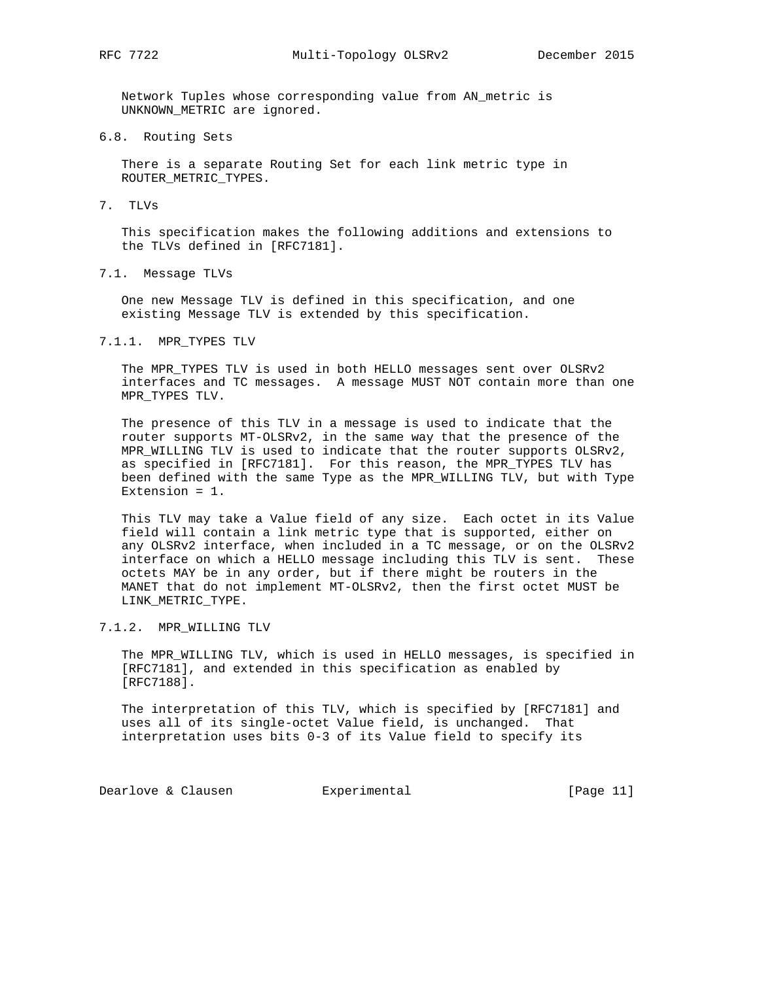Network Tuples whose corresponding value from AN\_metric is UNKNOWN\_METRIC are ignored.

6.8. Routing Sets

 There is a separate Routing Set for each link metric type in ROUTER\_METRIC\_TYPES.

7. TLVs

 This specification makes the following additions and extensions to the TLVs defined in [RFC7181].

7.1. Message TLVs

 One new Message TLV is defined in this specification, and one existing Message TLV is extended by this specification.

7.1.1. MPR\_TYPES TLV

 The MPR\_TYPES TLV is used in both HELLO messages sent over OLSRv2 interfaces and TC messages. A message MUST NOT contain more than one MPR\_TYPES TLV.

 The presence of this TLV in a message is used to indicate that the router supports MT-OLSRv2, in the same way that the presence of the MPR\_WILLING TLV is used to indicate that the router supports OLSRv2, as specified in [RFC7181]. For this reason, the MPR\_TYPES TLV has been defined with the same Type as the MPR\_WILLING TLV, but with Type Extension = 1.

 This TLV may take a Value field of any size. Each octet in its Value field will contain a link metric type that is supported, either on any OLSRv2 interface, when included in a TC message, or on the OLSRv2 interface on which a HELLO message including this TLV is sent. These octets MAY be in any order, but if there might be routers in the MANET that do not implement MT-OLSRv2, then the first octet MUST be LINK\_METRIC\_TYPE.

#### 7.1.2. MPR\_WILLING TLV

 The MPR\_WILLING TLV, which is used in HELLO messages, is specified in [RFC7181], and extended in this specification as enabled by [RFC7188].

 The interpretation of this TLV, which is specified by [RFC7181] and uses all of its single-octet Value field, is unchanged. That interpretation uses bits 0-3 of its Value field to specify its

Dearlove & Clausen **Experimental** (Page 11)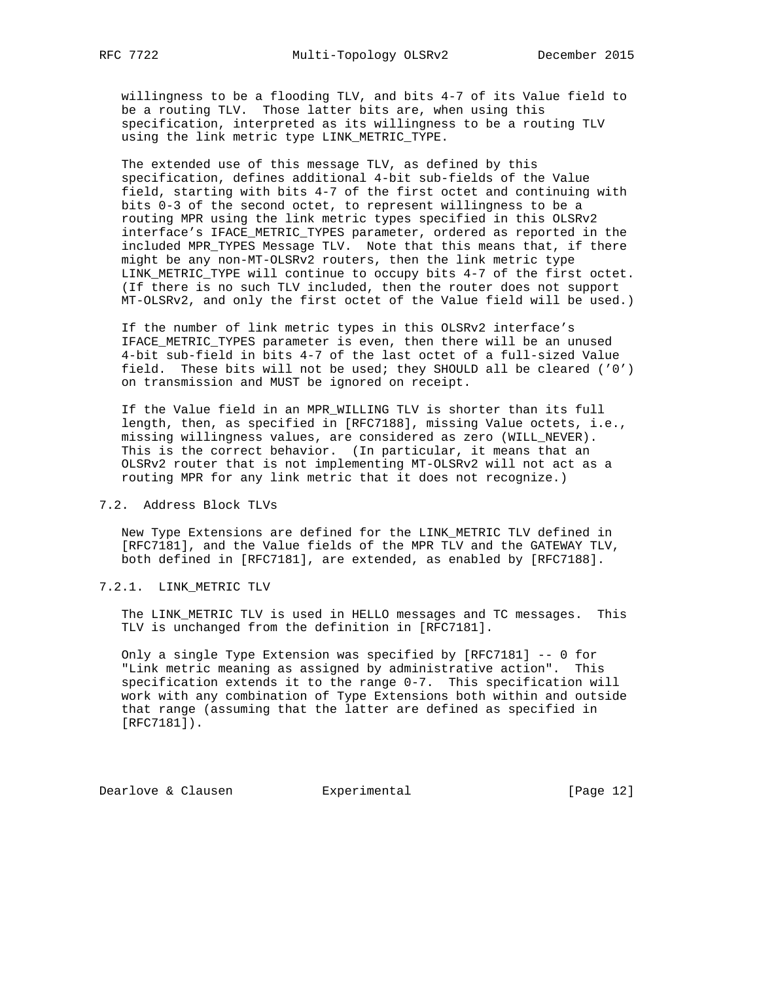willingness to be a flooding TLV, and bits 4-7 of its Value field to be a routing TLV. Those latter bits are, when using this specification, interpreted as its willingness to be a routing TLV using the link metric type LINK\_METRIC\_TYPE.

 The extended use of this message TLV, as defined by this specification, defines additional 4-bit sub-fields of the Value field, starting with bits 4-7 of the first octet and continuing with bits 0-3 of the second octet, to represent willingness to be a routing MPR using the link metric types specified in this OLSRv2 interface's IFACE\_METRIC\_TYPES parameter, ordered as reported in the included MPR\_TYPES Message TLV. Note that this means that, if there might be any non-MT-OLSRv2 routers, then the link metric type LINK\_METRIC\_TYPE will continue to occupy bits 4-7 of the first octet. (If there is no such TLV included, then the router does not support MT-OLSRv2, and only the first octet of the Value field will be used.)

 If the number of link metric types in this OLSRv2 interface's IFACE\_METRIC\_TYPES parameter is even, then there will be an unused 4-bit sub-field in bits 4-7 of the last octet of a full-sized Value field. These bits will not be used; they SHOULD all be cleared ('0') on transmission and MUST be ignored on receipt.

 If the Value field in an MPR\_WILLING TLV is shorter than its full length, then, as specified in [RFC7188], missing Value octets, i.e., missing willingness values, are considered as zero (WILL\_NEVER). This is the correct behavior. (In particular, it means that an OLSRv2 router that is not implementing MT-OLSRv2 will not act as a routing MPR for any link metric that it does not recognize.)

### 7.2. Address Block TLVs

 New Type Extensions are defined for the LINK\_METRIC TLV defined in [RFC7181], and the Value fields of the MPR TLV and the GATEWAY TLV, both defined in [RFC7181], are extended, as enabled by [RFC7188].

7.2.1. LINK\_METRIC TLV

 The LINK\_METRIC TLV is used in HELLO messages and TC messages. This TLV is unchanged from the definition in [RFC7181].

 Only a single Type Extension was specified by [RFC7181] -- 0 for "Link metric meaning as assigned by administrative action". This specification extends it to the range 0-7. This specification will work with any combination of Type Extensions both within and outside that range (assuming that the latter are defined as specified in [RFC7181]).

Dearlove & Clausen **Experimental** [Page 12]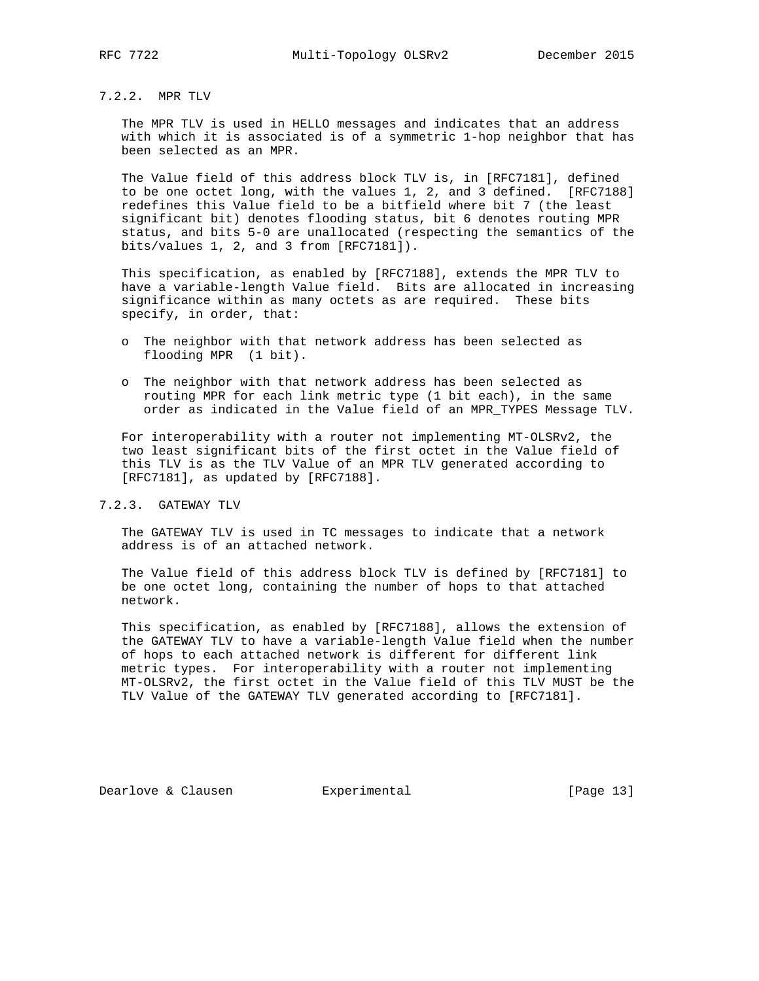### 7.2.2. MPR TLV

 The MPR TLV is used in HELLO messages and indicates that an address with which it is associated is of a symmetric 1-hop neighbor that has been selected as an MPR.

 The Value field of this address block TLV is, in [RFC7181], defined to be one octet long, with the values 1, 2, and 3 defined. [RFC7188] redefines this Value field to be a bitfield where bit 7 (the least significant bit) denotes flooding status, bit 6 denotes routing MPR status, and bits 5-0 are unallocated (respecting the semantics of the bits/values 1, 2, and 3 from [RFC7181]).

 This specification, as enabled by [RFC7188], extends the MPR TLV to have a variable-length Value field. Bits are allocated in increasing significance within as many octets as are required. These bits specify, in order, that:

- o The neighbor with that network address has been selected as flooding MPR (1 bit).
- o The neighbor with that network address has been selected as routing MPR for each link metric type (1 bit each), in the same order as indicated in the Value field of an MPR\_TYPES Message TLV.

 For interoperability with a router not implementing MT-OLSRv2, the two least significant bits of the first octet in the Value field of this TLV is as the TLV Value of an MPR TLV generated according to [RFC7181], as updated by [RFC7188].

### 7.2.3. GATEWAY TLV

 The GATEWAY TLV is used in TC messages to indicate that a network address is of an attached network.

 The Value field of this address block TLV is defined by [RFC7181] to be one octet long, containing the number of hops to that attached network.

 This specification, as enabled by [RFC7188], allows the extension of the GATEWAY TLV to have a variable-length Value field when the number of hops to each attached network is different for different link metric types. For interoperability with a router not implementing MT-OLSRv2, the first octet in the Value field of this TLV MUST be the TLV Value of the GATEWAY TLV generated according to [RFC7181].

Dearlove & Clausen **Experimental** [Page 13]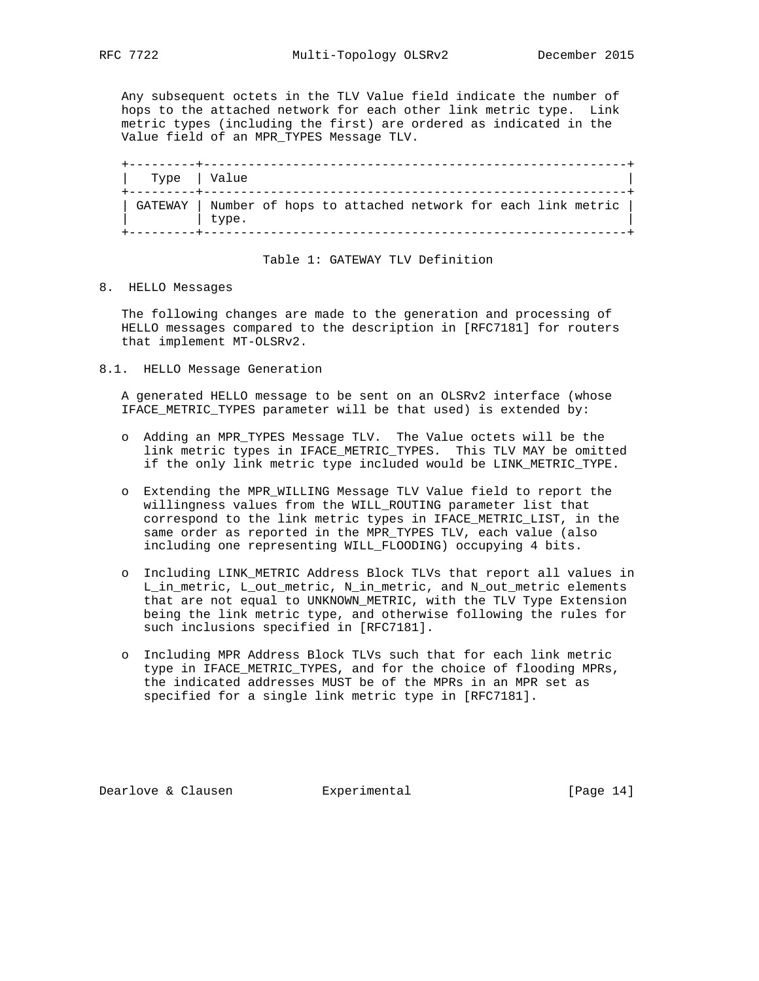Any subsequent octets in the TLV Value field indicate the number of hops to the attached network for each other link metric type. Link metric types (including the first) are ordered as indicated in the

Value field of an MPR\_TYPES Message TLV.

| Type   Value                                                      |       |  |  |  |  |  |
|-------------------------------------------------------------------|-------|--|--|--|--|--|
| GATEWAY   Number of hops to attached network for each link metric | type. |  |  |  |  |  |

### Table 1: GATEWAY TLV Definition

#### 8. HELLO Messages

 The following changes are made to the generation and processing of HELLO messages compared to the description in [RFC7181] for routers that implement MT-OLSRv2.

8.1. HELLO Message Generation

 A generated HELLO message to be sent on an OLSRv2 interface (whose IFACE\_METRIC\_TYPES parameter will be that used) is extended by:

- o Adding an MPR\_TYPES Message TLV. The Value octets will be the link metric types in IFACE\_METRIC\_TYPES. This TLV MAY be omitted if the only link metric type included would be LINK\_METRIC\_TYPE.
- o Extending the MPR\_WILLING Message TLV Value field to report the willingness values from the WILL\_ROUTING parameter list that correspond to the link metric types in IFACE\_METRIC\_LIST, in the same order as reported in the MPR\_TYPES TLV, each value (also including one representing WILL\_FLOODING) occupying 4 bits.
- o Including LINK\_METRIC Address Block TLVs that report all values in L\_in\_metric, L\_out\_metric, N\_in\_metric, and N\_out\_metric elements that are not equal to UNKNOWN\_METRIC, with the TLV Type Extension being the link metric type, and otherwise following the rules for such inclusions specified in [RFC7181].
- o Including MPR Address Block TLVs such that for each link metric type in IFACE\_METRIC\_TYPES, and for the choice of flooding MPRs, the indicated addresses MUST be of the MPRs in an MPR set as specified for a single link metric type in [RFC7181].

Dearlove & Clausen **Experimental** [Page 14]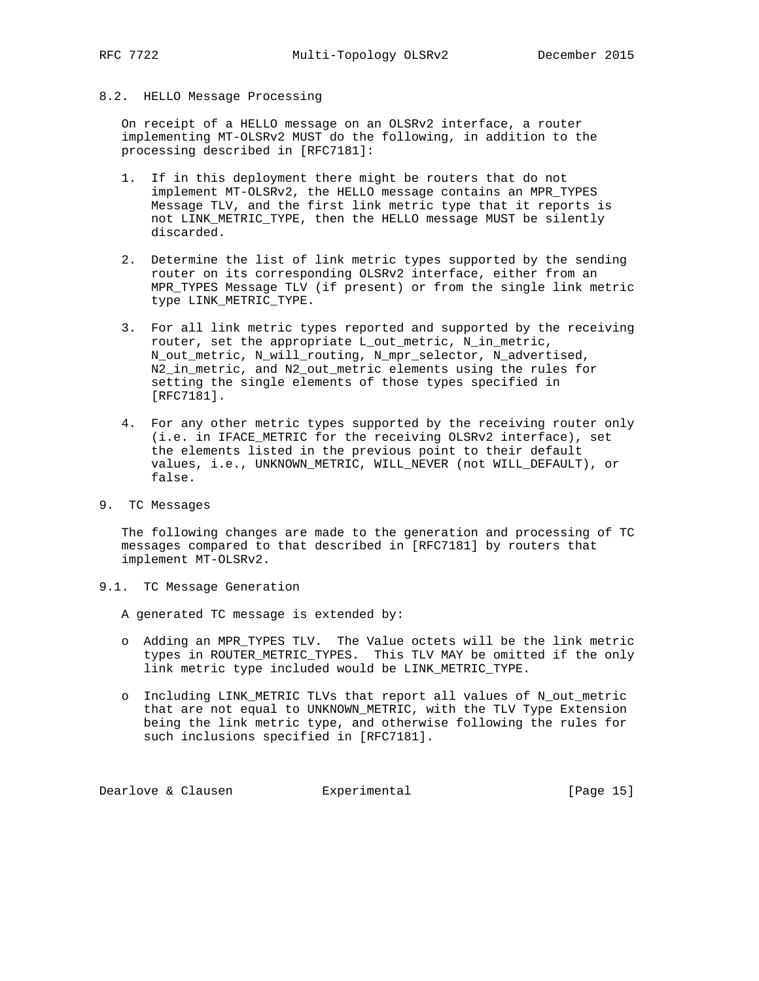#### 8.2. HELLO Message Processing

 On receipt of a HELLO message on an OLSRv2 interface, a router implementing MT-OLSRv2 MUST do the following, in addition to the processing described in [RFC7181]:

- 1. If in this deployment there might be routers that do not implement MT-OLSRv2, the HELLO message contains an MPR\_TYPES Message TLV, and the first link metric type that it reports is not LINK\_METRIC\_TYPE, then the HELLO message MUST be silently discarded.
- 2. Determine the list of link metric types supported by the sending router on its corresponding OLSRv2 interface, either from an MPR\_TYPES Message TLV (if present) or from the single link metric type LINK\_METRIC\_TYPE.
- 3. For all link metric types reported and supported by the receiving router, set the appropriate L\_out\_metric, N\_in\_metric, N\_out\_metric, N\_will\_routing, N\_mpr\_selector, N\_advertised, N2\_in\_metric, and N2\_out\_metric elements using the rules for setting the single elements of those types specified in [RFC7181].
- 4. For any other metric types supported by the receiving router only (i.e. in IFACE\_METRIC for the receiving OLSRv2 interface), set the elements listed in the previous point to their default values, i.e., UNKNOWN\_METRIC, WILL\_NEVER (not WILL\_DEFAULT), or false.
- 9. TC Messages

 The following changes are made to the generation and processing of TC messages compared to that described in [RFC7181] by routers that implement MT-OLSRv2.

9.1. TC Message Generation

A generated TC message is extended by:

- o Adding an MPR\_TYPES TLV. The Value octets will be the link metric types in ROUTER\_METRIC\_TYPES. This TLV MAY be omitted if the only link metric type included would be LINK\_METRIC\_TYPE.
- o Including LINK\_METRIC TLVs that report all values of N\_out\_metric that are not equal to UNKNOWN METRIC, with the TLV Type Extension being the link metric type, and otherwise following the rules for such inclusions specified in [RFC7181].

Dearlove & Clausen **Experimental** [Page 15]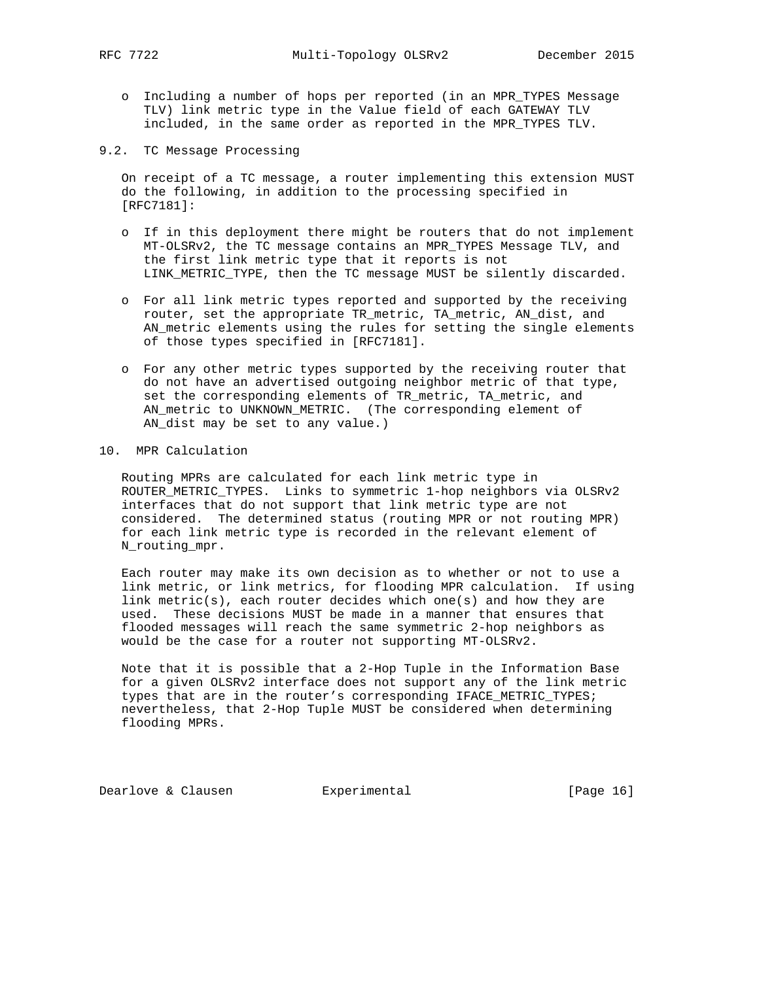- o Including a number of hops per reported (in an MPR\_TYPES Message TLV) link metric type in the Value field of each GATEWAY TLV included, in the same order as reported in the MPR\_TYPES TLV.
- 9.2. TC Message Processing

 On receipt of a TC message, a router implementing this extension MUST do the following, in addition to the processing specified in [RFC7181]:

- o If in this deployment there might be routers that do not implement MT-OLSRv2, the TC message contains an MPR\_TYPES Message TLV, and the first link metric type that it reports is not LINK\_METRIC\_TYPE, then the TC message MUST be silently discarded.
- o For all link metric types reported and supported by the receiving router, set the appropriate TR\_metric, TA\_metric, AN\_dist, and AN\_metric elements using the rules for setting the single elements of those types specified in [RFC7181].
- o For any other metric types supported by the receiving router that do not have an advertised outgoing neighbor metric of that type, set the corresponding elements of TR\_metric, TA\_metric, and AN\_metric to UNKNOWN\_METRIC. (The corresponding element of AN\_dist may be set to any value.)

### 10. MPR Calculation

 Routing MPRs are calculated for each link metric type in ROUTER\_METRIC\_TYPES. Links to symmetric 1-hop neighbors via OLSRv2 interfaces that do not support that link metric type are not considered. The determined status (routing MPR or not routing MPR) for each link metric type is recorded in the relevant element of N\_routing\_mpr.

 Each router may make its own decision as to whether or not to use a link metric, or link metrics, for flooding MPR calculation. If using link metric(s), each router decides which one(s) and how they are used. These decisions MUST be made in a manner that ensures that flooded messages will reach the same symmetric 2-hop neighbors as would be the case for a router not supporting MT-OLSRv2.

 Note that it is possible that a 2-Hop Tuple in the Information Base for a given OLSRv2 interface does not support any of the link metric types that are in the router's corresponding IFACE\_METRIC\_TYPES; nevertheless, that 2-Hop Tuple MUST be considered when determining flooding MPRs.

Dearlove & Clausen **Experimental** [Page 16]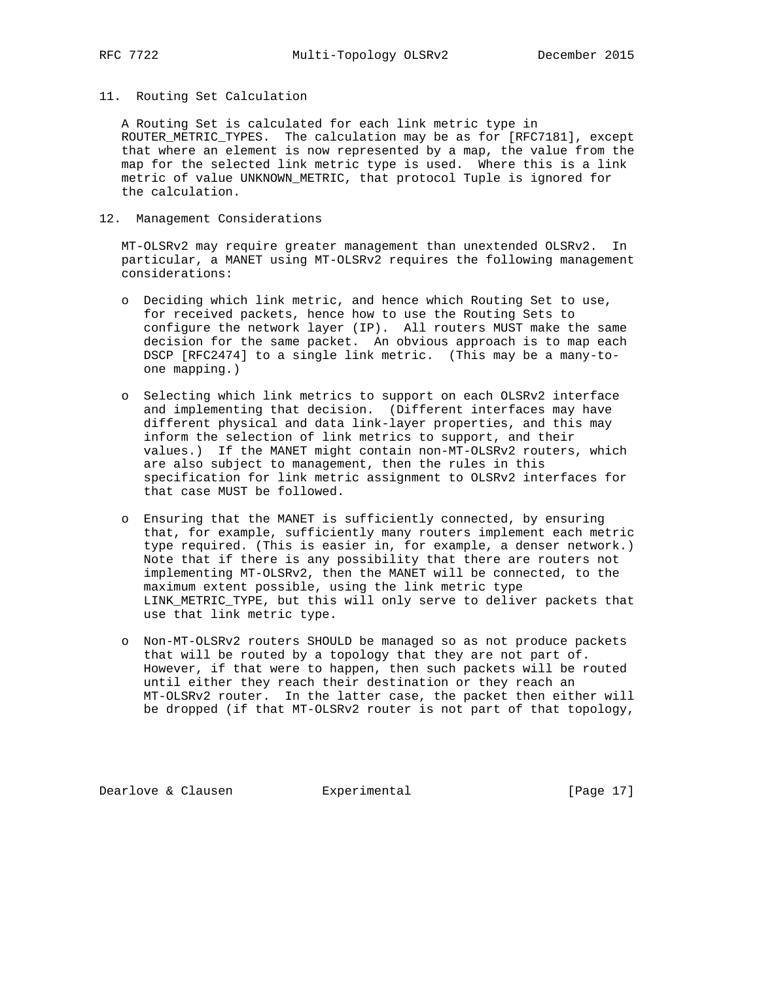#### 11. Routing Set Calculation

 A Routing Set is calculated for each link metric type in ROUTER\_METRIC\_TYPES. The calculation may be as for [RFC7181], except that where an element is now represented by a map, the value from the map for the selected link metric type is used. Where this is a link metric of value UNKNOWN\_METRIC, that protocol Tuple is ignored for the calculation.

### 12. Management Considerations

 MT-OLSRv2 may require greater management than unextended OLSRv2. In particular, a MANET using MT-OLSRv2 requires the following management considerations:

- o Deciding which link metric, and hence which Routing Set to use, for received packets, hence how to use the Routing Sets to configure the network layer (IP). All routers MUST make the same decision for the same packet. An obvious approach is to map each DSCP [RFC2474] to a single link metric. (This may be a many-to one mapping.)
- o Selecting which link metrics to support on each OLSRv2 interface and implementing that decision. (Different interfaces may have different physical and data link-layer properties, and this may inform the selection of link metrics to support, and their values.) If the MANET might contain non-MT-OLSRv2 routers, which are also subject to management, then the rules in this specification for link metric assignment to OLSRv2 interfaces for that case MUST be followed.
- o Ensuring that the MANET is sufficiently connected, by ensuring that, for example, sufficiently many routers implement each metric type required. (This is easier in, for example, a denser network.) Note that if there is any possibility that there are routers not implementing MT-OLSRv2, then the MANET will be connected, to the maximum extent possible, using the link metric type LINK\_METRIC\_TYPE, but this will only serve to deliver packets that use that link metric type.
- o Non-MT-OLSRv2 routers SHOULD be managed so as not produce packets that will be routed by a topology that they are not part of. However, if that were to happen, then such packets will be routed until either they reach their destination or they reach an MT-OLSRv2 router. In the latter case, the packet then either will be dropped (if that MT-OLSRv2 router is not part of that topology,

Dearlove & Clausen **Experimental** [Page 17]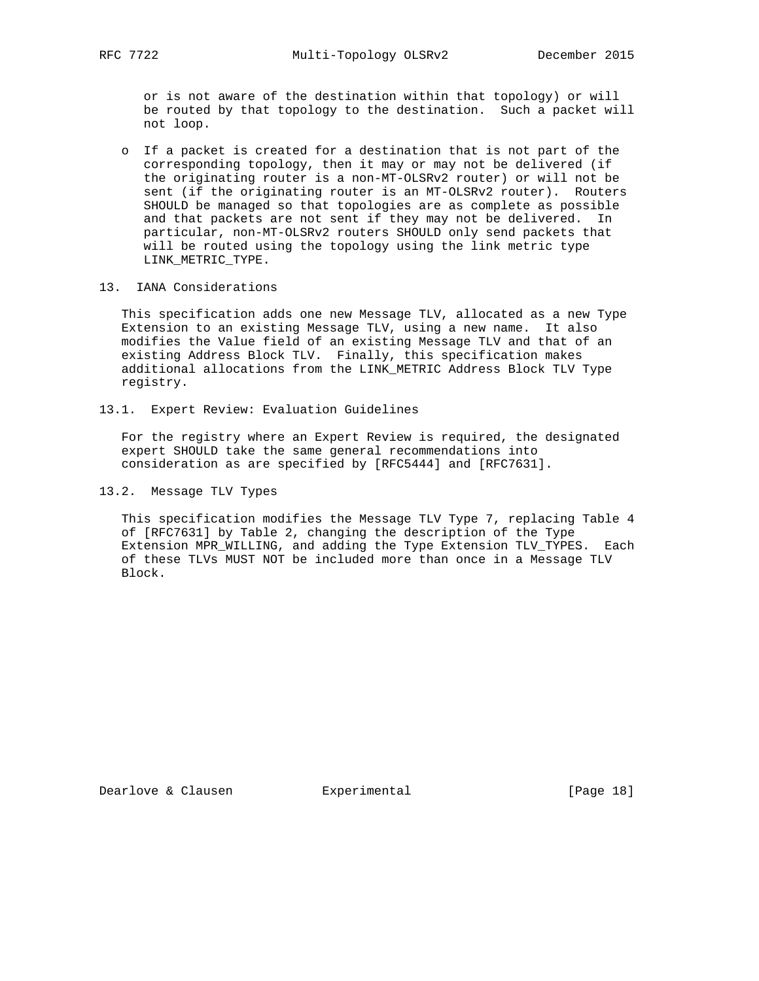or is not aware of the destination within that topology) or will be routed by that topology to the destination. Such a packet will not loop.

 o If a packet is created for a destination that is not part of the corresponding topology, then it may or may not be delivered (if the originating router is a non-MT-OLSRv2 router) or will not be sent (if the originating router is an MT-OLSRv2 router). Routers SHOULD be managed so that topologies are as complete as possible and that packets are not sent if they may not be delivered. In particular, non-MT-OLSRv2 routers SHOULD only send packets that will be routed using the topology using the link metric type LINK\_METRIC\_TYPE.

#### 13. IANA Considerations

 This specification adds one new Message TLV, allocated as a new Type Extension to an existing Message TLV, using a new name. It also modifies the Value field of an existing Message TLV and that of an existing Address Block TLV. Finally, this specification makes additional allocations from the LINK\_METRIC Address Block TLV Type registry.

13.1. Expert Review: Evaluation Guidelines

 For the registry where an Expert Review is required, the designated expert SHOULD take the same general recommendations into consideration as are specified by [RFC5444] and [RFC7631].

### 13.2. Message TLV Types

 This specification modifies the Message TLV Type 7, replacing Table 4 of [RFC7631] by Table 2, changing the description of the Type Extension MPR WILLING, and adding the Type Extension TLV TYPES. Each of these TLVs MUST NOT be included more than once in a Message TLV Block.

Dearlove & Clausen **Experimental** [Page 18]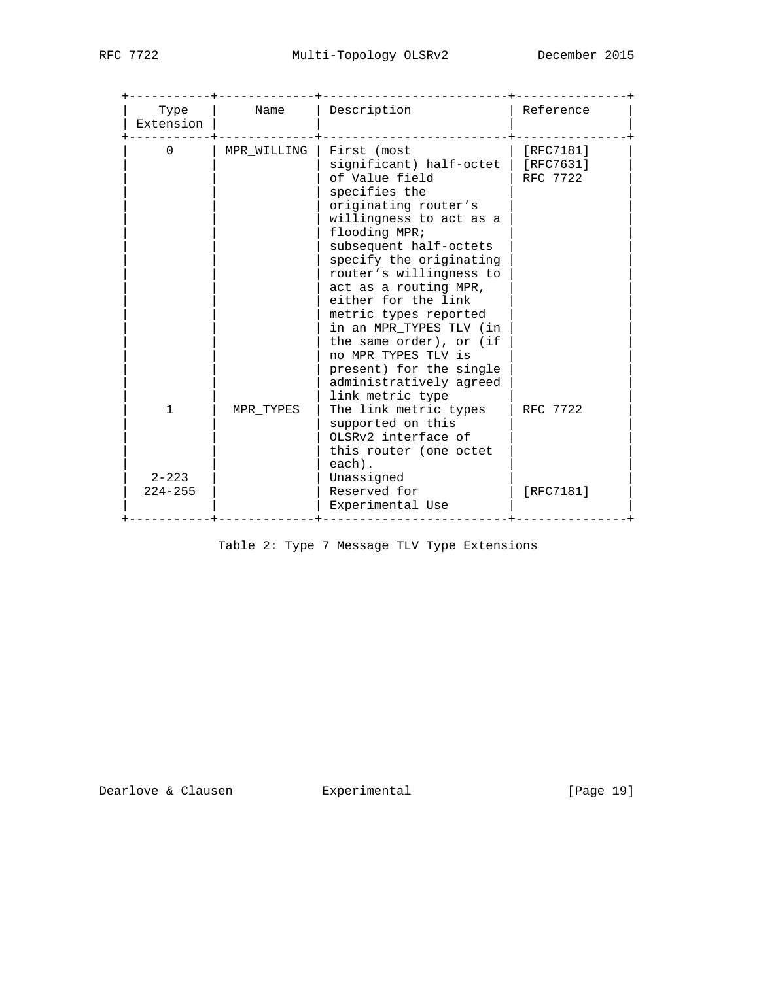| Type<br>Extension        | Name        | Description                                                                                                                                                                                                                                                                                                                                                                                                                                                   | Reference                          |
|--------------------------|-------------|---------------------------------------------------------------------------------------------------------------------------------------------------------------------------------------------------------------------------------------------------------------------------------------------------------------------------------------------------------------------------------------------------------------------------------------------------------------|------------------------------------|
| $\Omega$                 | MPR WILLING | First (most<br>significant) half-octet<br>of Value field<br>specifies the<br>originating router's<br>willingness to act as a<br>flooding MPR;<br>subsequent half-octets<br>specify the originating<br>router's willingness to<br>act as a routing MPR,<br>either for the link<br>metric types reported<br>in an MPR TYPES TLV (in<br>the same order), or (if<br>no MPR_TYPES TLV is<br>present) for the single<br>administratively agreed<br>link metric type | [RFC7181]<br>[RFC7631]<br>RFC 7722 |
| 1                        | MPR TYPES   | The link metric types<br>supported on this<br>OLSRy2 interface of<br>this router (one octet<br>each).                                                                                                                                                                                                                                                                                                                                                         | RFC 7722                           |
| $2 - 223$<br>$224 - 255$ |             | Unassigned<br>Reserved for<br>Experimental Use                                                                                                                                                                                                                                                                                                                                                                                                                | [RFC7181]                          |

Table 2: Type 7 Message TLV Type Extensions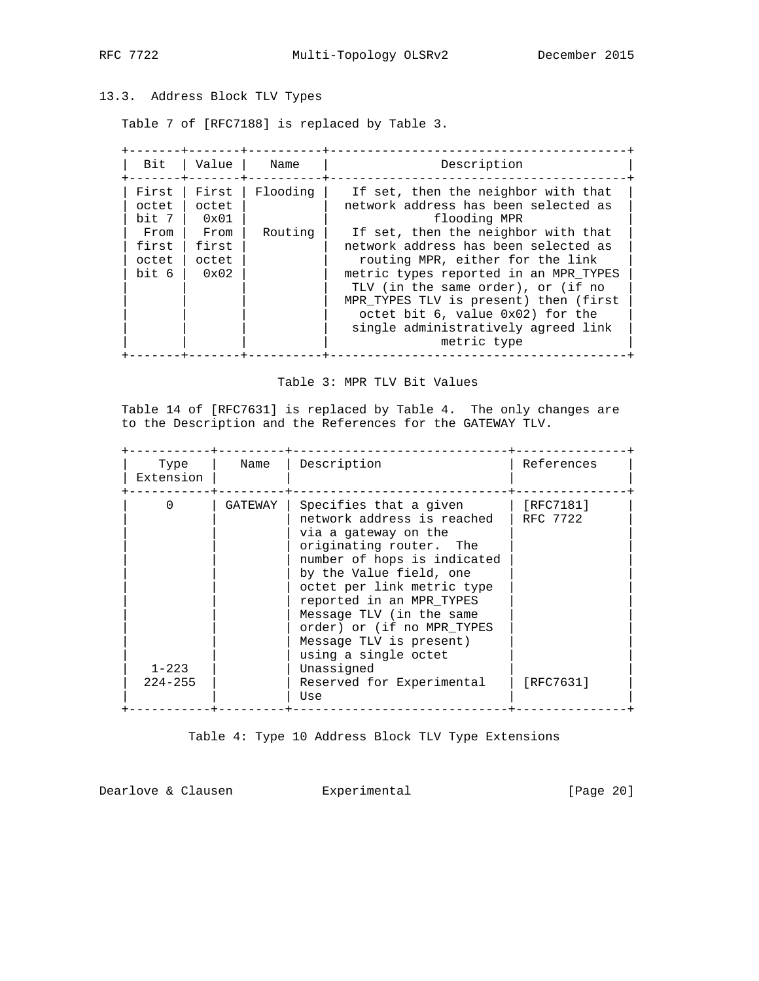# 13.3. Address Block TLV Types

Table 7 of [RFC7188] is replaced by Table 3.

| Bit                             | Value                                   | Name     | Description                                                                                                                                                                                                                                                                                                                       |
|---------------------------------|-----------------------------------------|----------|-----------------------------------------------------------------------------------------------------------------------------------------------------------------------------------------------------------------------------------------------------------------------------------------------------------------------------------|
| First<br>octet<br>bit 7         | First<br>octet<br>0x01                  | Flooding | If set, then the neighbor with that<br>network address has been selected as<br>flooding MPR                                                                                                                                                                                                                                       |
| From<br>first<br>octet<br>bit 6 | From<br>first<br>octet<br>$0 \times 02$ | Routing  | If set, then the neighbor with that<br>network address has been selected as<br>routing MPR, either for the link<br>metric types reported in an MPR TYPES<br>TLV (in the same order), or (if no<br>MPR TYPES TLV is present) then (first<br>octet bit 6, value 0x02) for the<br>single administratively agreed link<br>metric type |

### Table 3: MPR TLV Bit Values

 Table 14 of [RFC7631] is replaced by Table 4. The only changes are to the Description and the References for the GATEWAY TLV.

| Type<br>Extension                    |
|--------------------------------------|
| $\Omega$<br>$1 - 223$<br>$224 - 255$ |

Table 4: Type 10 Address Block TLV Type Extensions

Dearlove & Clausen **Experimental** [Page 20]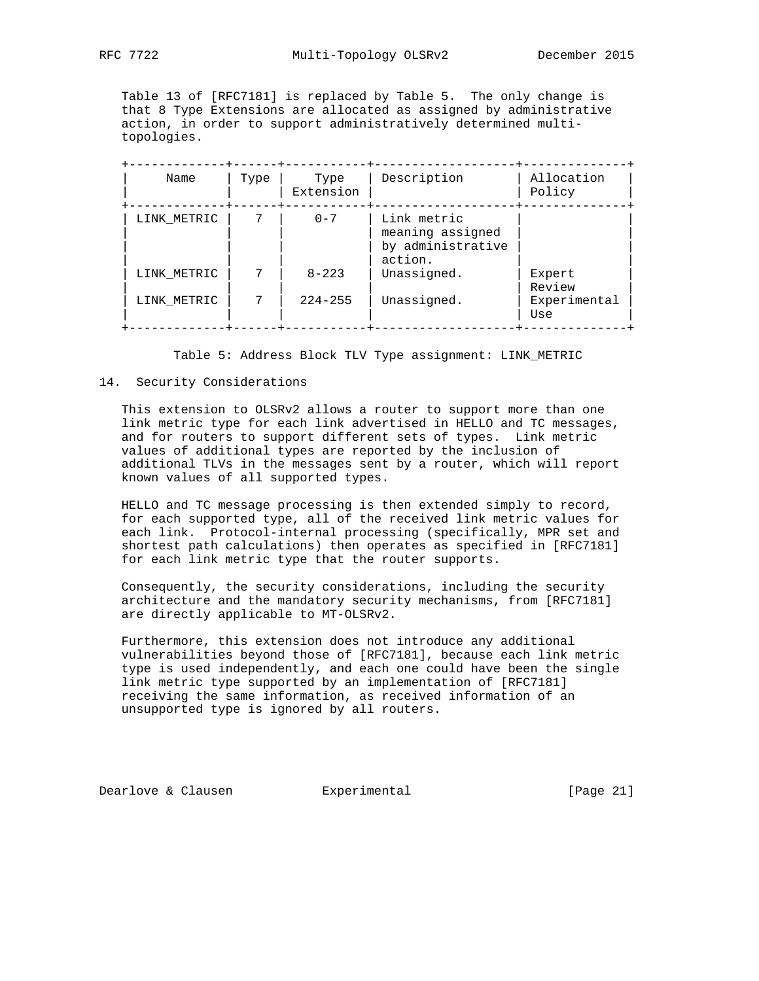Table 13 of [RFC7181] is replaced by Table 5. The only change is that 8 Type Extensions are allocated as assigned by administrative action, in order to support administratively determined multi topologies.

| Name        | Type | Type<br>Extension | Description                                                     | Allocation<br>Policy |
|-------------|------|-------------------|-----------------------------------------------------------------|----------------------|
| LINK_METRIC |      | $0 - 7$           | Link metric<br>meaning assigned<br>by administrative<br>action. |                      |
| LINK METRIC | 7    | $8 - 223$         | Unassigned.                                                     | Expert<br>Review     |
| LINK_METRIC | 7    | $224 - 255$       | Unassigned.                                                     | Experimental<br>Use  |

Table 5: Address Block TLV Type assignment: LINK\_METRIC

#### 14. Security Considerations

 This extension to OLSRv2 allows a router to support more than one link metric type for each link advertised in HELLO and TC messages, and for routers to support different sets of types. Link metric values of additional types are reported by the inclusion of additional TLVs in the messages sent by a router, which will report known values of all supported types.

 HELLO and TC message processing is then extended simply to record, for each supported type, all of the received link metric values for each link. Protocol-internal processing (specifically, MPR set and shortest path calculations) then operates as specified in [RFC7181] for each link metric type that the router supports.

 Consequently, the security considerations, including the security architecture and the mandatory security mechanisms, from [RFC7181] are directly applicable to MT-OLSRv2.

 Furthermore, this extension does not introduce any additional vulnerabilities beyond those of [RFC7181], because each link metric type is used independently, and each one could have been the single link metric type supported by an implementation of [RFC7181] receiving the same information, as received information of an unsupported type is ignored by all routers.

Dearlove & Clausen **Experimental** [Page 21]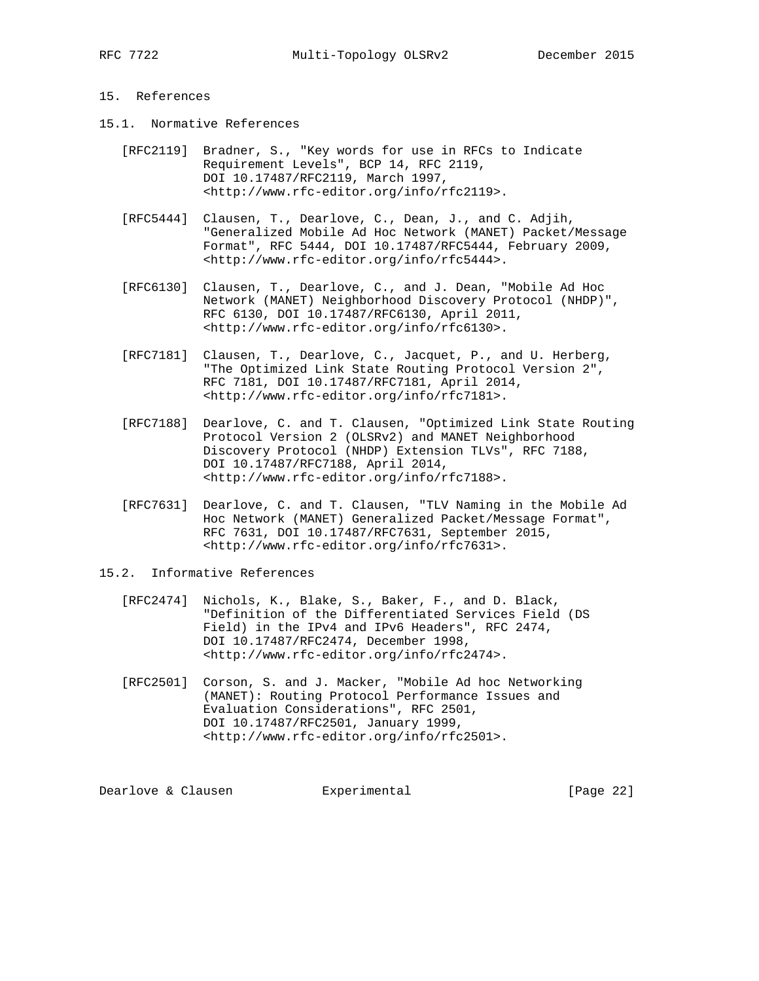# 15. References

- 15.1. Normative References
	- [RFC2119] Bradner, S., "Key words for use in RFCs to Indicate Requirement Levels", BCP 14, RFC 2119, DOI 10.17487/RFC2119, March 1997, <http://www.rfc-editor.org/info/rfc2119>.
	- [RFC5444] Clausen, T., Dearlove, C., Dean, J., and C. Adjih, "Generalized Mobile Ad Hoc Network (MANET) Packet/Message Format", RFC 5444, DOI 10.17487/RFC5444, February 2009, <http://www.rfc-editor.org/info/rfc5444>.
	- [RFC6130] Clausen, T., Dearlove, C., and J. Dean, "Mobile Ad Hoc Network (MANET) Neighborhood Discovery Protocol (NHDP)", RFC 6130, DOI 10.17487/RFC6130, April 2011, <http://www.rfc-editor.org/info/rfc6130>.
	- [RFC7181] Clausen, T., Dearlove, C., Jacquet, P., and U. Herberg, "The Optimized Link State Routing Protocol Version 2", RFC 7181, DOI 10.17487/RFC7181, April 2014, <http://www.rfc-editor.org/info/rfc7181>.
	- [RFC7188] Dearlove, C. and T. Clausen, "Optimized Link State Routing Protocol Version 2 (OLSRv2) and MANET Neighborhood Discovery Protocol (NHDP) Extension TLVs", RFC 7188, DOI 10.17487/RFC7188, April 2014, <http://www.rfc-editor.org/info/rfc7188>.
	- [RFC7631] Dearlove, C. and T. Clausen, "TLV Naming in the Mobile Ad Hoc Network (MANET) Generalized Packet/Message Format", RFC 7631, DOI 10.17487/RFC7631, September 2015, <http://www.rfc-editor.org/info/rfc7631>.
- 15.2. Informative References
	- [RFC2474] Nichols, K., Blake, S., Baker, F., and D. Black, "Definition of the Differentiated Services Field (DS Field) in the IPv4 and IPv6 Headers", RFC 2474, DOI 10.17487/RFC2474, December 1998, <http://www.rfc-editor.org/info/rfc2474>.
	- [RFC2501] Corson, S. and J. Macker, "Mobile Ad hoc Networking (MANET): Routing Protocol Performance Issues and Evaluation Considerations", RFC 2501, DOI 10.17487/RFC2501, January 1999, <http://www.rfc-editor.org/info/rfc2501>.

Dearlove & Clausen **Experimental** [Page 22]